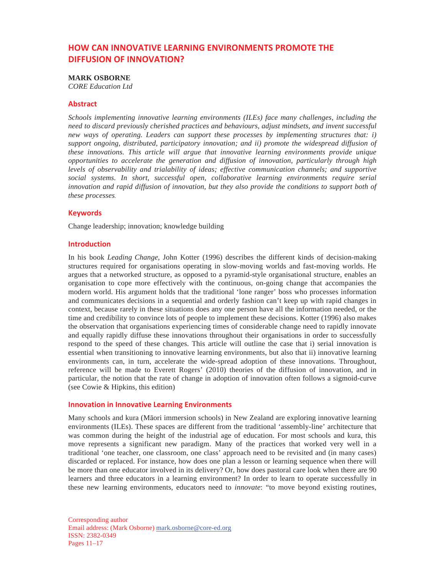# **HOW CAN INNOVATIVE LEARNING ENVIRONMENTS PROMOTE THE DIFFUSION OF INNOVATION?**

## **MARK OSBORNE**

*CORE Education Ltd* 

## Abstract

*Schools implementing innovative learning environments (ILEs) face many challenges, including the need to discard previously cherished practices and behaviours, adjust mindsets, and invent successful new ways of operating. Leaders can support these processes by implementing structures that: i) support ongoing, distributed, participatory innovation; and ii) promote the widespread diffusion of these innovations. This article will argue that innovative learning environments provide unique opportunities to accelerate the generation and diffusion of innovation, particularly through high levels of observability and trialability of ideas; effective communication channels; and supportive social systems. In short, successful open, collaborative learning environments require serial innovation and rapid diffusion of innovation, but they also provide the conditions to support both of these processes.*

#### **Keywords**

Change leadership; innovation; knowledge building

## $Introduction$

In his book *Leading Change*, John Kotter (1996) describes the different kinds of decision-making structures required for organisations operating in slow-moving worlds and fast-moving worlds. He argues that a networked structure, as opposed to a pyramid-style organisational structure, enables an organisation to cope more effectively with the continuous, on-going change that accompanies the modern world. His argument holds that the traditional 'lone ranger' boss who processes information and communicates decisions in a sequential and orderly fashion can't keep up with rapid changes in context, because rarely in these situations does any one person have all the information needed, or the time and credibility to convince lots of people to implement these decisions. Kotter (1996) also makes the observation that organisations experiencing times of considerable change need to rapidly innovate and equally rapidly diffuse these innovations throughout their organisations in order to successfully respond to the speed of these changes. This article will outline the case that i) serial innovation is essential when transitioning to innovative learning environments, but also that ii) innovative learning environments can, in turn, accelerate the wide-spread adoption of these innovations. Throughout, reference will be made to Everett Rogers' (2010) theories of the diffusion of innovation, and in particular, the notion that the rate of change in adoption of innovation often follows a sigmoid-curve (see Cowie & Hipkins, this edition)

## **Innovation in Innovative Learning Environments**

Many schools and kura (Māori immersion schools) in New Zealand are exploring innovative learning environments (ILEs). These spaces are different from the traditional 'assembly-line' architecture that was common during the height of the industrial age of education. For most schools and kura, this move represents a significant new paradigm. Many of the practices that worked very well in a traditional 'one teacher, one classroom, one class' approach need to be revisited and (in many cases) discarded or replaced. For instance, how does one plan a lesson or learning sequence when there will be more than one educator involved in its delivery? Or, how does pastoral care look when there are 90 learners and three educators in a learning environment? In order to learn to operate successfully in these new learning environments, educators need to *innovate*: "to move beyond existing routines,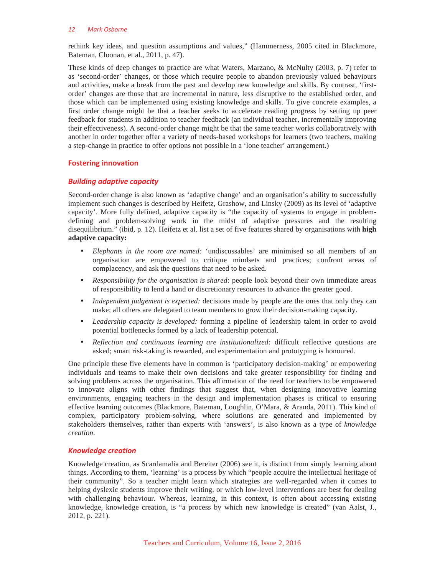#### 12 Mark Osborne

rethink key ideas, and question assumptions and values," (Hammerness, 2005 cited in Blackmore, Bateman, Cloonan, et al., 2011, p. 47).

These kinds of deep changes to practice are what Waters, Marzano, & McNulty (2003, p. 7) refer to as 'second-order' changes, or those which require people to abandon previously valued behaviours and activities, make a break from the past and develop new knowledge and skills. By contrast, 'firstorder' changes are those that are incremental in nature, less disruptive to the established order, and those which can be implemented using existing knowledge and skills. To give concrete examples, a first order change might be that a teacher seeks to accelerate reading progress by setting up peer feedback for students in addition to teacher feedback (an individual teacher, incrementally improving their effectiveness). A second-order change might be that the same teacher works collaboratively with another in order together offer a variety of needs-based workshops for learners (two teachers, making a step-change in practice to offer options not possible in a 'lone teacher' arrangement.)

## **Fostering innovation**

## **Building adaptive capacity**

Second-order change is also known as 'adaptive change' and an organisation's ability to successfully implement such changes is described by Heifetz, Grashow, and Linsky (2009) as its level of 'adaptive capacity'. More fully defined, adaptive capacity is "the capacity of systems to engage in problemdefining and problem-solving work in the midst of adaptive pressures and the resulting disequilibrium." (ibid, p. 12). Heifetz et al. list a set of five features shared by organisations with **high adaptive capacity:** 

- *Elephants in the room are named:* 'undiscussables' are minimised so all members of an organisation are empowered to critique mindsets and practices; confront areas of complacency, and ask the questions that need to be asked.
- *Responsibility for the organisation is shared*: people look beyond their own immediate areas of responsibility to lend a hand or discretionary resources to advance the greater good.
- *Independent judgement is expected:* decisions made by people are the ones that only they can make; all others are delegated to team members to grow their decision-making capacity.
- *Leadership capacity is developed:* forming a pipeline of leadership talent in order to avoid potential bottlenecks formed by a lack of leadership potential.
- *Reflection and continuous learning are institutionalized:* difficult reflective questions are asked; smart risk-taking is rewarded, and experimentation and prototyping is honoured.

One principle these five elements have in common is 'participatory decision-making' or empowering individuals and teams to make their own decisions and take greater responsibility for finding and solving problems across the organisation. This affirmation of the need for teachers to be empowered to innovate aligns with other findings that suggest that, when designing innovative learning environments, engaging teachers in the design and implementation phases is critical to ensuring effective learning outcomes (Blackmore, Bateman, Loughlin, O'Mara, & Aranda, 2011). This kind of complex, participatory problem-solving, where solutions are generated and implemented by stakeholders themselves, rather than experts with 'answers', is also known as a type of *knowledge creation*.

# *<u>Knowledge</u>* creation

Knowledge creation, as Scardamalia and Bereiter (2006) see it, is distinct from simply learning about things. According to them, 'learning' is a process by which "people acquire the intellectual heritage of their community". So a teacher might learn which strategies are well-regarded when it comes to helping dyslexic students improve their writing, or which low-level interventions are best for dealing with challenging behaviour. Whereas, learning, in this context, is often about accessing existing knowledge, knowledge creation, is "a process by which new knowledge is created" (van Aalst, J., 2012, p. 221).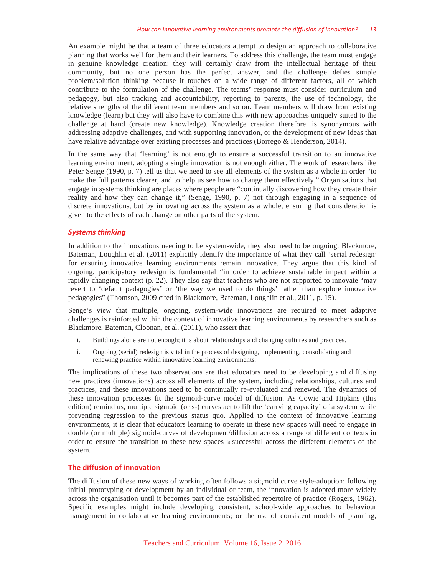An example might be that a team of three educators attempt to design an approach to collaborative planning that works well for them and their learners. To address this challenge, the team must engage in genuine knowledge creation: they will certainly draw from the intellectual heritage of their community, but no one person has the perfect answer, and the challenge defies simple problem/solution thinking because it touches on a wide range of different factors, all of which contribute to the formulation of the challenge. The teams' response must consider curriculum and pedagogy, but also tracking and accountability, reporting to parents, the use of technology, the relative strengths of the different team members and so on. Team members will draw from existing knowledge (learn) but they will also have to combine this with new approaches uniquely suited to the challenge at hand (create new knowledge). Knowledge creation therefore, is synonymous with addressing adaptive challenges, and with supporting innovation, or the development of new ideas that have relative advantage over existing processes and practices (Borrego & Henderson, 2014).

In the same way that 'learning' is not enough to ensure a successful transition to an innovative learning environment, adopting a single innovation is not enough either. The work of researchers like Peter Senge (1990, p. 7) tell us that we need to see all elements of the system as a whole in order "to make the full patterns clearer, and to help us see how to change them effectively." Organisations that engage in systems thinking are places where people are "continually discovering how they create their reality and how they can change it," (Senge, 1990, p. 7) not through engaging in a sequence of discrete innovations, but by innovating across the system as a whole, ensuring that consideration is given to the effects of each change on other parts of the system.

#### **Systems thinking**

In addition to the innovations needing to be system-wide, they also need to be ongoing. Blackmore, Bateman, Loughlin et al. (2011) explicitly identify the importance of what they call 'serial redesign' for ensuring innovative learning environments remain innovative. They argue that this kind of ongoing, participatory redesign is fundamental "in order to achieve sustainable impact within a rapidly changing context (p. 22). They also say that teachers who are not supported to innovate "may revert to 'default pedagogies' or 'the way we used to do things' rather than explore innovative pedagogies" (Thomson, 2009 cited in Blackmore, Bateman, Loughlin et al., 2011, p. 15).

Senge's view that multiple, ongoing, system-wide innovations are required to meet adaptive challenges is reinforced within the context of innovative learning environments by researchers such as Blackmore, Bateman, Cloonan, et al. (2011), who assert that:

- i. Buildings alone are not enough; it is about relationships and changing cultures and practices.
- ii. Ongoing (serial) redesign is vital in the process of designing, implementing, consolidating and renewing practice within innovative learning environments.

The implications of these two observations are that educators need to be developing and diffusing new practices (innovations) across all elements of the system, including relationships, cultures and practices, and these innovations need to be continually re-evaluated and renewed. The dynamics of these innovation processes fit the sigmoid-curve model of diffusion. As Cowie and Hipkins (this edition) remind us, multiple sigmoid (or s-) curves act to lift the 'carrying capacity' of a system while preventing regression to the previous status quo. Applied to the context of innovative learning environments, it is clear that educators learning to operate in these new spaces will need to engage in double (or multiple) sigmoid-curves of development/diffusion across a range of different contexts in order to ensure the transition to these new spaces is successful across the different elements of the system.

#### **The diffusion of innovation**

The diffusion of these new ways of working often follows a sigmoid curve style-adoption: following initial prototyping or development by an individual or team, the innovation is adopted more widely across the organisation until it becomes part of the established repertoire of practice (Rogers, 1962). Specific examples might include developing consistent, school-wide approaches to behaviour management in collaborative learning environments; or the use of consistent models of planning,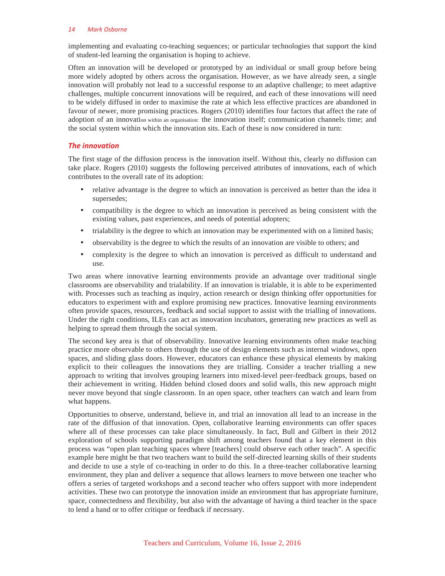#### 14 Mark Oshorne

implementing and evaluating co-teaching sequences; or particular technologies that support the kind of student-led learning the organisation is hoping to achieve.

Often an innovation will be developed or prototyped by an individual or small group before being more widely adopted by others across the organisation. However, as we have already seen, a single innovation will probably not lead to a successful response to an adaptive challenge; to meet adaptive challenges, multiple concurrent innovations will be required, and each of these innovations will need to be widely diffused in order to maximise the rate at which less effective practices are abandoned in favour of newer, more promising practices. Rogers (2010) identifies four factors that affect the rate of adoption of an innovation within an organisation: the innovation itself; communication channels; time; and the social system within which the innovation sits. Each of these is now considered in turn:

# **The innovation**

The first stage of the diffusion process is the innovation itself. Without this, clearly no diffusion can take place. Rogers (2010) suggests the following perceived attributes of innovations, each of which contributes to the overall rate of its adoption:

- relative advantage is the degree to which an innovation is perceived as better than the idea it supersedes;
- compatibility is the degree to which an innovation is perceived as being consistent with the existing values, past experiences, and needs of potential adopters;
- trialability is the degree to which an innovation may be experimented with on a limited basis;
- observability is the degree to which the results of an innovation are visible to others; and
- complexity is the degree to which an innovation is perceived as difficult to understand and use.

Two areas where innovative learning environments provide an advantage over traditional single classrooms are observability and trialability. If an innovation is trialable, it is able to be experimented with. Processes such as teaching as inquiry, action research or design thinking offer opportunities for educators to experiment with and explore promising new practices. Innovative learning environments often provide spaces, resources, feedback and social support to assist with the trialling of innovations. Under the right conditions, ILEs can act as innovation incubators, generating new practices as well as helping to spread them through the social system.

The second key area is that of observability. Innovative learning environments often make teaching practice more observable to others through the use of design elements such as internal windows, open spaces, and sliding glass doors. However, educators can enhance these physical elements by making explicit to their colleagues the innovations they are trialling. Consider a teacher trialling a new approach to writing that involves grouping learners into mixed-level peer-feedback groups, based on their achievement in writing. Hidden behind closed doors and solid walls, this new approach might never move beyond that single classroom. In an open space, other teachers can watch and learn from what happens.

Opportunities to observe, understand, believe in, and trial an innovation all lead to an increase in the rate of the diffusion of that innovation. Open, collaborative learning environments can offer spaces where all of these processes can take place simultaneously. In fact, Bull and Gilbert in their 2012 exploration of schools supporting paradigm shift among teachers found that a key element in this process was "open plan teaching spaces where [teachers] could observe each other teach". A specific example here might be that two teachers want to build the self-directed learning skills of their students and decide to use a style of co-teaching in order to do this. In a three-teacher collaborative learning environment, they plan and deliver a sequence that allows learners to move between one teacher who offers a series of targeted workshops and a second teacher who offers support with more independent activities. These two can prototype the innovation inside an environment that has appropriate furniture, space, connectedness and flexibility, but also with the advantage of having a third teacher in the space to lend a hand or to offer critique or feedback if necessary.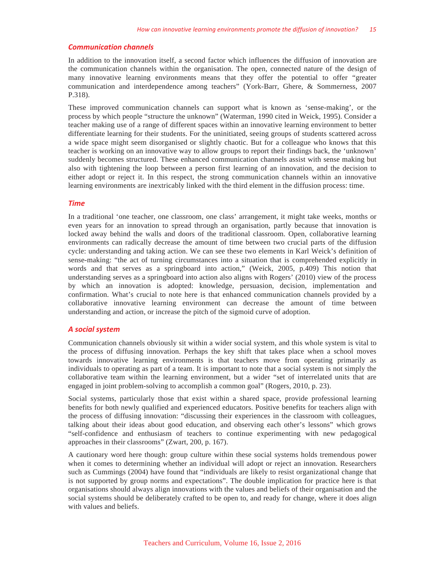#### **Communication channels**

In addition to the innovation itself, a second factor which influences the diffusion of innovation are the communication channels within the organisation. The open, connected nature of the design of many innovative learning environments means that they offer the potential to offer "greater communication and interdependence among teachers" (York-Barr, Ghere, & Sommerness, 2007 P.318).

These improved communication channels can support what is known as 'sense-making', or the process by which people "structure the unknown" (Waterman, 1990 cited in Weick, 1995). Consider a teacher making use of a range of different spaces within an innovative learning environment to better differentiate learning for their students. For the uninitiated, seeing groups of students scattered across a wide space might seem disorganised or slightly chaotic. But for a colleague who knows that this teacher is working on an innovative way to allow groups to report their findings back, the 'unknown' suddenly becomes structured. These enhanced communication channels assist with sense making but also with tightening the loop between a person first learning of an innovation, and the decision to either adopt or reject it. In this respect, the strong communication channels within an innovative learning environments are inextricably linked with the third element in the diffusion process: time.

#### **Time**

In a traditional 'one teacher, one classroom, one class' arrangement, it might take weeks, months or even years for an innovation to spread through an organisation, partly because that innovation is locked away behind the walls and doors of the traditional classroom. Open, collaborative learning environments can radically decrease the amount of time between two crucial parts of the diffusion cycle: understanding and taking action. We can see these two elements in Karl Weick's definition of sense-making: "the act of turning circumstances into a situation that is comprehended explicitly in words and that serves as a springboard into action," (Weick, 2005, p.409) This notion that understanding serves as a springboard into action also aligns with Rogers' (2010) view of the process by which an innovation is adopted: knowledge, persuasion, decision, implementation and confirmation. What's crucial to note here is that enhanced communication channels provided by a collaborative innovative learning environment can decrease the amount of time between understanding and action, or increase the pitch of the sigmoid curve of adoption.

## $\boldsymbol{A}$  social system

Communication channels obviously sit within a wider social system, and this whole system is vital to the process of diffusing innovation. Perhaps the key shift that takes place when a school moves towards innovative learning environments is that teachers move from operating primarily as individuals to operating as part of a team. It is important to note that a social system is not simply the collaborative team within the learning environment, but a wider "set of interrelated units that are engaged in joint problem-solving to accomplish a common goal" (Rogers, 2010, p. 23).

Social systems, particularly those that exist within a shared space, provide professional learning benefits for both newly qualified and experienced educators. Positive benefits for teachers align with the process of diffusing innovation: "discussing their experiences in the classroom with colleagues, talking about their ideas about good education, and observing each other's lessons" which grows "self-confidence and enthusiasm of teachers to continue experimenting with new pedagogical approaches in their classrooms" (Zwart, 200, p. 167).

A cautionary word here though: group culture within these social systems holds tremendous power when it comes to determining whether an individual will adopt or reject an innovation. Researchers such as Cummings (2004) have found that "individuals are likely to resist organizational change that is not supported by group norms and expectations". The double implication for practice here is that organisations should always align innovations with the values and beliefs of their organisation and the social systems should be deliberately crafted to be open to, and ready for change, where it does align with values and beliefs.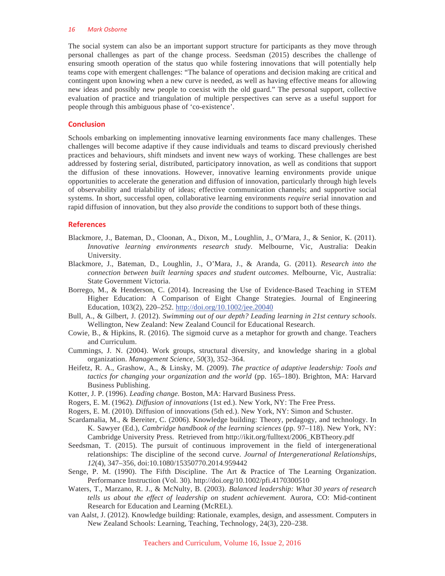#### 16 Mark Osborne

The social system can also be an important support structure for participants as they move through personal challenges as part of the change process. Seedsman (2015) describes the challenge of ensuring smooth operation of the status quo while fostering innovations that will potentially help teams cope with emergent challenges: "The balance of operations and decision making are critical and contingent upon knowing when a new curve is needed, as well as having effective means for allowing new ideas and possibly new people to coexist with the old guard." The personal support, collective evaluation of practice and triangulation of multiple perspectives can serve as a useful support for people through this ambiguous phase of 'co-existence'.

#### **Conclusion**

Schools embarking on implementing innovative learning environments face many challenges. These challenges will become adaptive if they cause individuals and teams to discard previously cherished practices and behaviours, shift mindsets and invent new ways of working. These challenges are best addressed by fostering serial, distributed, participatory innovation, as well as conditions that support the diffusion of these innovations. However, innovative learning environments provide unique opportunities to accelerate the generation and diffusion of innovation, particularly through high levels of observability and trialability of ideas; effective communication channels; and supportive social systems. In short, successful open, collaborative learning environments *require* serial innovation and rapid diffusion of innovation, but they also *provide* the conditions to support both of these things.

#### **References**

- Blackmore, J., Bateman, D., Cloonan, A., Dixon, M., Loughlin, J., O'Mara, J., & Senior, K. (2011). *Innovative learning environments research study*. Melbourne, Vic, Australia: Deakin University.
- Blackmore, J., Bateman, D., Loughlin, J., O'Mara, J., & Aranda, G. (2011). *Research into the connection between built learning spaces and student outcomes*. Melbourne, Vic, Australia: State Government Victoria.
- Borrego, M., & Henderson, C. (2014). Increasing the Use of Evidence-Based Teaching in STEM Higher Education: A Comparison of Eight Change Strategies. Journal of Engineering Education, 103(2), 220–252. http://doi.org/10.1002/jee.20040
- Bull, A., & Gilbert, J. (2012). *Swimming out of our depth? Leading learning in 21st century schools*. Wellington, New Zealand: New Zealand Council for Educational Research.
- Cowie, B., & Hipkins, R. (2016). The sigmoid curve as a metaphor for growth and change. Teachers and Curriculum.
- Cummings, J. N. (2004). Work groups, structural diversity, and knowledge sharing in a global organization. *Management Science, 50*(3), 352–364.
- Heifetz, R. A., Grashow, A., & Linsky, M. (2009). *The practice of adaptive leadership: Tools and tactics for changing your organization and the world* (pp. 165–180). Brighton, MA: Harvard Business Publishing.
- Kotter, J. P. (1996). *Leading change.* Boston, MA: Harvard Business Press.
- Rogers, E. M. (1962). *Diffusion of innovations* (1st ed.). New York, NY: The Free Press.
- Rogers, E. M. (2010). Diffusion of innovations (5th ed.). New York, NY: Simon and Schuster.
- Scardamalia, M., & Bereiter, C. (2006). Knowledge building: Theory, pedagogy, and technology. In K. Sawyer (Ed.), *Cambridge handbook of the learning sciences* (pp. 97–118). New York, NY: Cambridge University Press. Retrieved from http://ikit.org/fulltext/2006\_KBTheory.pdf
- Seedsman, T. (2015). The pursuit of continuous improvement in the field of intergenerational relationships: The discipline of the second curve. *Journal of Intergenerational Relationships, 12*(4), 347–356, doi:10.1080/15350770.2014.959442
- Senge, P. M. (1990). The Fifth Discipline. The Art & Practice of The Learning Organization. Performance Instruction (Vol. 30). http://doi.org/10.1002/pfi.4170300510
- Waters, T., Marzano, R. J., & McNulty, B. (2003). *Balanced leadership: What 30 years of research tells us about the effect of leadership on student achievement.* Aurora, CO: Mid-continent Research for Education and Learning (McREL).
- van Aalst, J. (2012). Knowledge building: Rationale, examples, design, and assessment. Computers in New Zealand Schools: Learning, Teaching, Technology, 24(3), 220–238.